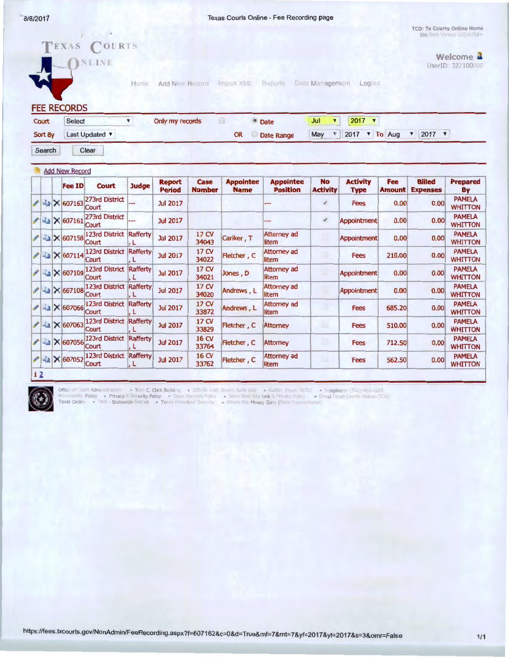.. 8/8/2011 Texas Courts Online - Fee Recording page

TCO: Tx Courts Online Home Site Breat

|    |                  |  |                                              | TEXAS COURTS<br>NLINE            | Home                  | Add New Record                 |                       | Import XML                                    | Reports                             | Data Management                                                                                                                                  | Logout                         |                             |                                  | Welcome 2<br>UserID: 32 100000  |
|----|------------------|--|----------------------------------------------|----------------------------------|-----------------------|--------------------------------|-----------------------|-----------------------------------------------|-------------------------------------|--------------------------------------------------------------------------------------------------------------------------------------------------|--------------------------------|-----------------------------|----------------------------------|---------------------------------|
|    |                  |  | <b>FEE RECORDS</b>                           |                                  |                       |                                |                       |                                               |                                     |                                                                                                                                                  |                                |                             |                                  |                                 |
|    | Court<br>Sort By |  | $\pmb{\mathrm{v}}$<br>Select<br>Last Updated |                                  |                       | Only my records                |                       | O<br><b>• Date</b><br><b>OR</b><br>Date Range |                                     | Jul<br>$\blacktriangledown$<br>$2017$ $\sqrt{ }$<br>2017 <b>v</b> To Aug<br>$2017$ $\times$<br>May<br>$\mathbbmss{v}$<br>$\overline{\mathbf{v}}$ |                                |                             |                                  |                                 |
|    |                  |  |                                              |                                  |                       |                                |                       |                                               |                                     |                                                                                                                                                  |                                |                             |                                  |                                 |
|    | Search           |  |                                              | Clear                            |                       |                                |                       |                                               |                                     |                                                                                                                                                  |                                |                             |                                  |                                 |
|    |                  |  | <b>Add New Record</b>                        |                                  |                       |                                |                       |                                               |                                     |                                                                                                                                                  |                                |                             |                                  |                                 |
|    |                  |  | <b>Fee ID</b>                                | Court                            | <b>Judge</b>          | <b>Report</b><br><b>Period</b> | Case<br><b>Number</b> | <b>Appointee</b><br><b>Name</b>               | <b>Appointee</b><br><b>Position</b> | <b>No</b><br><b>Activity</b>                                                                                                                     | <b>Activity</b><br><b>Type</b> | <b>Fee</b><br><b>Amount</b> | <b>Billed</b><br><b>Expenses</b> | <b>Prepared</b><br>By           |
|    |                  |  | $\sim$ 4 $\times$ 607163                     | 273rd District<br><b>Court</b>   |                       | <b>Jul 2017</b>                |                       |                                               |                                     | v.                                                                                                                                               | <b>Fees</b>                    | 0.00                        | 0.00                             | <b>PAMELA</b><br><b>WHITTON</b> |
|    |                  |  | / a × 607161                                 | 273rd District<br>Court          |                       | <b>Jul 2017</b>                |                       |                                               | --                                  | ∢                                                                                                                                                | <b>Appointment</b>             | 0.00                        | 0.00                             | <b>PAMELA</b><br><b>WHITTON</b> |
|    |                  |  | $\sim$ 4 $\times$ 607158                     | 123rd District<br>Court          | <b>Rafferty</b><br>.L | <b>Jul 2017</b>                | 17 CV<br>34043        | Cariker, T                                    | <b>Attorney ad</b><br>litem         | 1.2                                                                                                                                              | <b>Appointment</b>             | 0.00                        | 0.00                             | <b>PAMELA</b><br><b>WHITTON</b> |
|    |                  |  | $243$ $\times 607114$                        | 123rd District Rafferty<br>Court | L                     | <b>Jul 2017</b>                | 17 CV<br>34022        | Fletcher, C                                   | <b>Attorney ad</b><br>litem         | 圓                                                                                                                                                | <b>Fees</b>                    | 210.00                      | 0.00                             | <b>PAMELA</b><br><b>WHITTON</b> |
| P  |                  |  | <b>A</b> × 607109                            | 123rd District<br>Court          | Rafferty<br>L         | <b>Jul 2017</b>                | 17 CV<br>34021        | Jones, D                                      | <b>Attorney ad</b><br>litem         | o                                                                                                                                                | Appointment                    | 0.00                        | 0.00                             | <b>PAMELA</b><br><b>WHITTON</b> |
|    |                  |  | $ 41 \times 607108$                          | 123rd District<br>Court          | Rafferty<br>L         | <b>Jul 2017</b>                | 17 CV<br>34020        | Andrews, L                                    | <b>Attorney ad</b><br>litem         | u                                                                                                                                                | <b>Appointment</b>             | 0.00                        | 0.00                             | <b>PAMELA</b><br><b>WHITTON</b> |
|    |                  |  | $2$ - $\times$ 607066                        | <b>123rd District</b><br>Court   | <b>Rafferty</b><br>L  | <b>Jul 2017</b>                | 17 CV<br>33872        | Andrews, L                                    | <b>Attorney ad</b><br>litem         | E)                                                                                                                                               | <b>Fees</b>                    | 685.20                      | 0.00                             | <b>PAMELA</b><br><b>WHITTON</b> |
|    |                  |  | $2$ $\times$ 607063                          | <b>123rd District</b><br>Court   | <b>Rafferty</b><br>.L | <b>Jul 2017</b>                | 17 CV<br>33829        | Fletcher, C                                   | <b>Attorney</b>                     | البابا                                                                                                                                           | <b>Fees</b>                    | 510.00                      | 0.00                             | <b>PAMELA</b><br><b>WHITTON</b> |
|    |                  |  | $\ell$ - $\times$ 607056                     | 123rd District Rafferty<br>Court | L                     | <b>Jul 2017</b>                | 16 CV<br>33764        | Fletcher, C                                   | <b>Attorney</b>                     | u.                                                                                                                                               | Fees                           | 712.50                      | 0.00                             | <b>PAMELA</b><br><b>WHITTON</b> |
|    |                  |  | A a × 607052                                 | 123rd District<br>Court          | Rafferty<br>L         | <b>Jul 2017</b>                | 16 CV<br>33762        | Fletcher, C                                   | <b>Attorney ad</b><br>litem         | m                                                                                                                                                | Fees                           | 562.50                      | 0.00                             | <b>PAMELA</b><br><b>WHITTON</b> |
| 12 |                  |  |                                              |                                  |                       |                                |                       |                                               |                                     |                                                                                                                                                  |                                |                             |                                  |                                 |



.)f